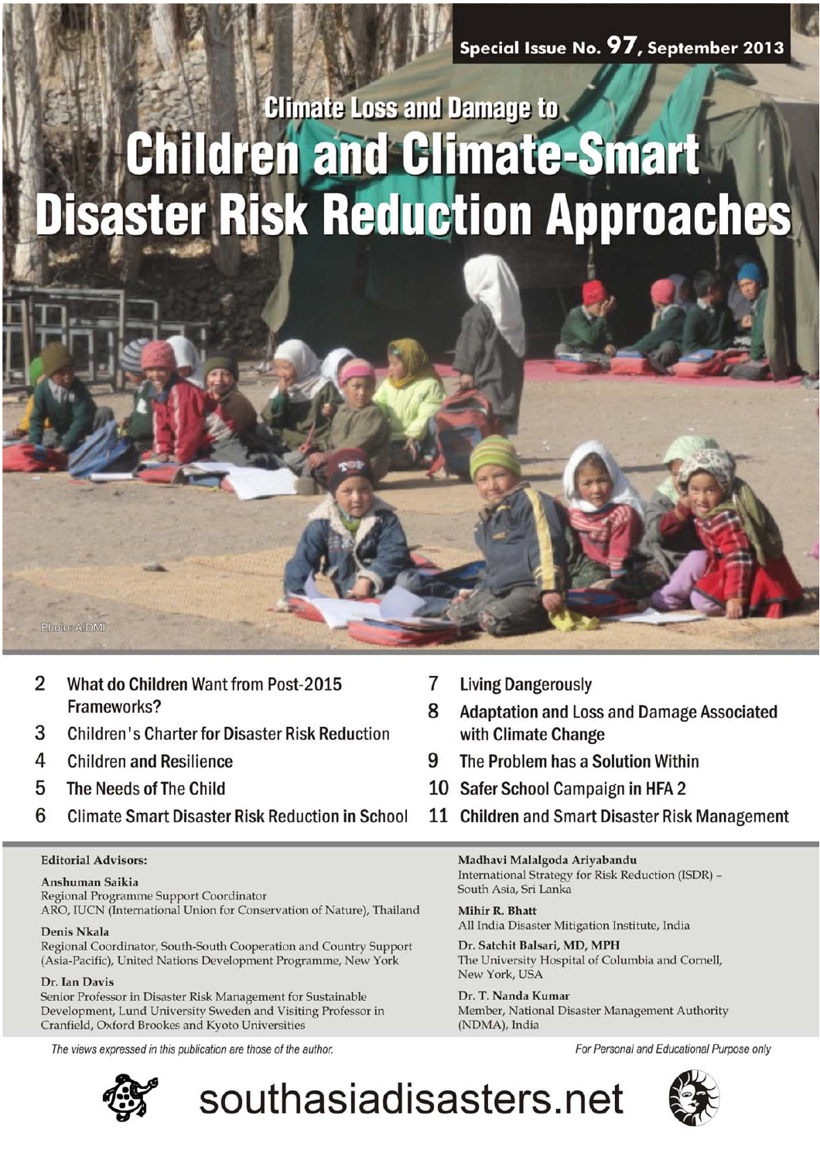# **Climate Loss and Damage to Children and Climate-Smart Disaster Risk Reduction Approaches**



- 3 **Children's Charter for Disaster Risk Reduction**
- 4 **Children and Resilience**
- 5 The Needs of The Child
- 6 **Climate Smart Disaster Risk Reduction in School**

### **Editorial Advisors:**

### Anshuman Saikia

Regional Programme Support Coordinator ARO, IUCN (International Union for Conservation of Nature), Thailand

### Denis Nkala

Photo: AIDMI

Regional Coordinator, South-South Cooperation and Country Support (Asia-Pacific), United Nations Development Programme, New York

### Dr. Ian Davis

Senior Professor in Disaster Risk Management for Sustainable Development, Lund University Sweden and Visiting Professor in Cranfield, Oxford Brookes and Kyoto Universities

The views expressed in this publication are those of the author.



7 **Living Dangerously** 

southasiadisasters.net

- 8 **Adaptation and Loss and Damage Associated** with Climate Change
- 9 The Problem has a Solution Within
- 10 Safer School Campaign in HFA 2
- 11 Children and Smart Disaster Risk Management

Madhavi Malalgoda Ariyabandu International Strategy for Risk Reduction (ISDR) -South Asia, Sri Lanka

Mihir R. Bhatt All India Disaster Mitigation Institute, India

Dr. Satchit Balsari, MD, MPH The University Hospital of Columbia and Cornell, New York, USA

Dr. T. Nanda Kumar Member, National Disaster Management Authority (NDMA), India

For Personal and Educational Purpose only

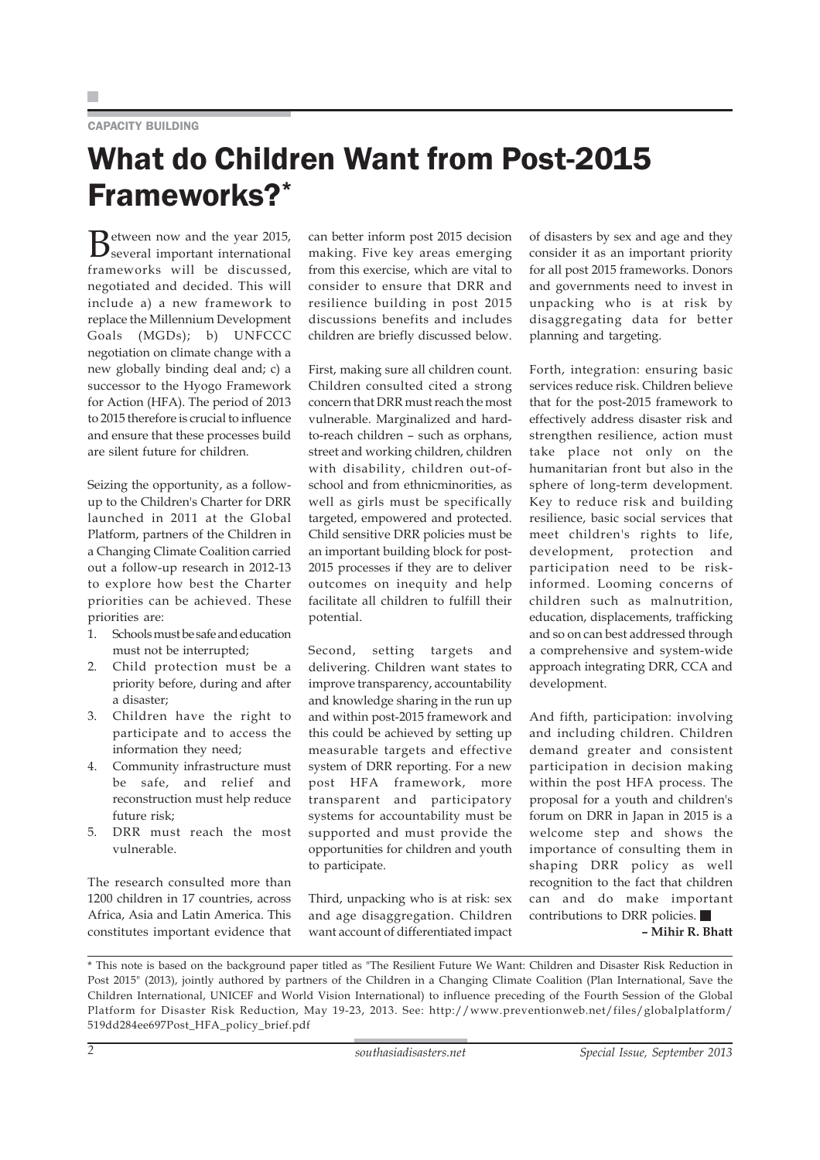### CAPACITY BUILDING

## What do Children Want from Post-2015 Frameworks?\*

Between now and the year 2015,<br>several important international frameworks will be discussed, negotiated and decided. This will include a) a new framework to replace the Millennium Development Goals (MGDs); b) UNFCCC negotiation on climate change with a new globally binding deal and; c) a successor to the Hyogo Framework for Action (HFA). The period of 2013 to 2015 therefore is crucial to influence and ensure that these processes build are silent future for children.

Seizing the opportunity, as a followup to the Children's Charter for DRR launched in 2011 at the Global Platform, partners of the Children in a Changing Climate Coalition carried out a follow-up research in 2012-13 to explore how best the Charter priorities can be achieved. These priorities are:

- 1. Schools must be safe and education must not be interrupted;
- 2. Child protection must be a priority before, during and after a disaster;
- 3. Children have the right to participate and to access the information they need;
- 4. Community infrastructure must be safe, and relief and reconstruction must help reduce future risk;
- 5. DRR must reach the most vulnerable.

The research consulted more than 1200 children in 17 countries, across Africa, Asia and Latin America. This constitutes important evidence that can better inform post 2015 decision making. Five key areas emerging from this exercise, which are vital to consider to ensure that DRR and resilience building in post 2015 discussions benefits and includes children are briefly discussed below.

First, making sure all children count. Children consulted cited a strong concern that DRR must reach the most vulnerable. Marginalized and hardto-reach children – such as orphans, street and working children, children with disability, children out-ofschool and from ethnicminorities, as well as girls must be specifically targeted, empowered and protected. Child sensitive DRR policies must be an important building block for post-2015 processes if they are to deliver outcomes on inequity and help facilitate all children to fulfill their potential.

Second, setting targets and delivering. Children want states to improve transparency, accountability and knowledge sharing in the run up and within post-2015 framework and this could be achieved by setting up measurable targets and effective system of DRR reporting. For a new post HFA framework, more transparent and participatory systems for accountability must be supported and must provide the opportunities for children and youth to participate.

Third, unpacking who is at risk: sex and age disaggregation. Children want account of differentiated impact

of disasters by sex and age and they consider it as an important priority for all post 2015 frameworks. Donors and governments need to invest in unpacking who is at risk by disaggregating data for better planning and targeting.

Forth, integration: ensuring basic services reduce risk. Children believe that for the post-2015 framework to effectively address disaster risk and strengthen resilience, action must take place not only on the humanitarian front but also in the sphere of long-term development. Key to reduce risk and building resilience, basic social services that meet children's rights to life, development, protection and participation need to be riskinformed. Looming concerns of children such as malnutrition, education, displacements, trafficking and so on can best addressed through a comprehensive and system-wide approach integrating DRR, CCA and development.

And fifth, participation: involving and including children. Children demand greater and consistent participation in decision making within the post HFA process. The proposal for a youth and children's forum on DRR in Japan in 2015 is a welcome step and shows the importance of consulting them in shaping DRR policy as well recognition to the fact that children can and do make important contributions to DRR policies.

**– Mihir R. Bhatt**

\* This note is based on the background paper titled as "The Resilient Future We Want: Children and Disaster Risk Reduction in Post 2015" (2013), jointly authored by partners of the Children in a Changing Climate Coalition (Plan International, Save the Children International, UNICEF and World Vision International) to influence preceding of the Fourth Session of the Global Platform for Disaster Risk Reduction, May 19-23, 2013. See: http://www.preventionweb.net/files/globalplatform/ 519dd284ee697Post\_HFA\_policy\_brief.pdf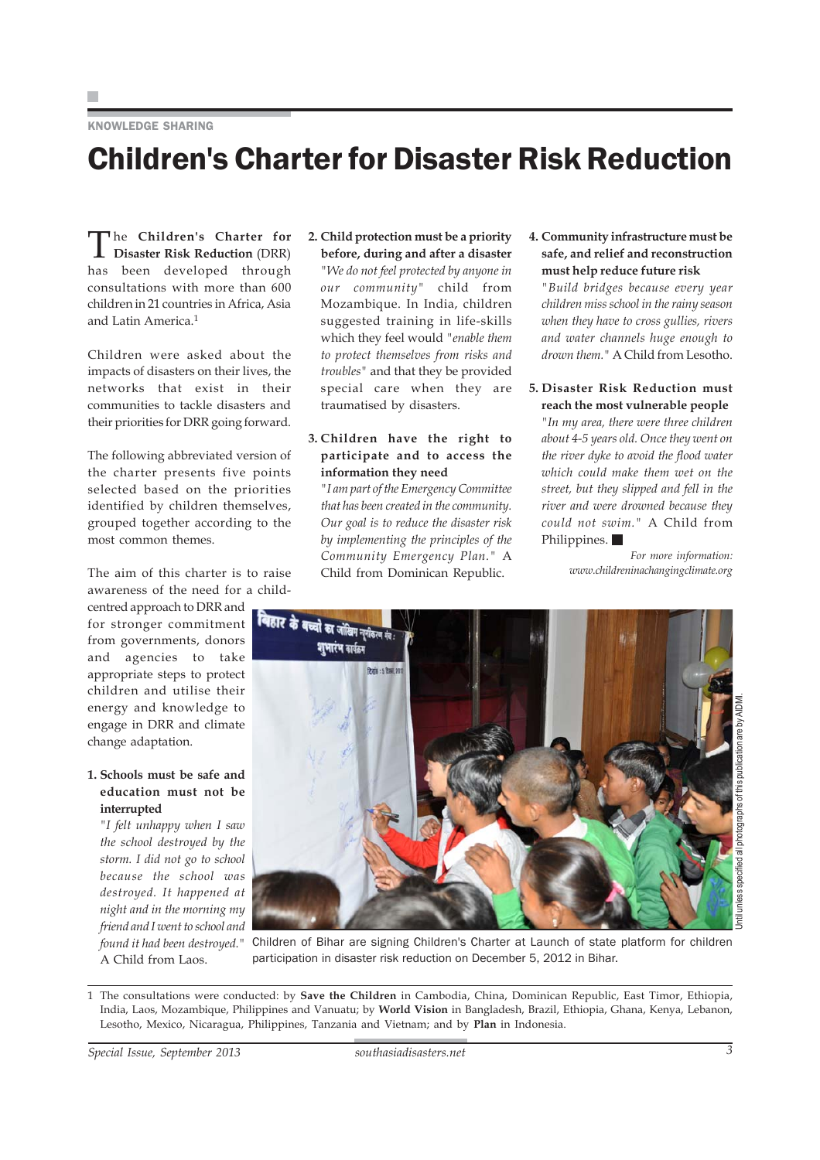### KNOWLEDGE SHARING

# Children's Charter for Disaster Risk Reduction

The **Children's Charter for Disaster Risk Reduction** (DRR) has been developed through consultations with more than 600 children in 21 countries in Africa, Asia and Latin America.<sup>1</sup>

Children were asked about the impacts of disasters on their lives, the networks that exist in their communities to tackle disasters and their priorities for DRR going forward.

The following abbreviated version of the charter presents five points selected based on the priorities identified by children themselves, grouped together according to the most common themes.

The aim of this charter is to raise awareness of the need for a child-

centred approach to DRR and for stronger commitment from governments, donors and agencies to take appropriate steps to protect children and utilise their energy and knowledge to engage in DRR and climate change adaptation.

### **1. Schools must be safe and education must not be interrupted**

*"I felt unhappy when I saw the school destroyed by the storm. I did not go to school because the school was destroyed. It happened at night and in the morning my friend and I went to school and found it had been destroyed."* A Child from Laos.

### **2. Child protection must be a priority before, during and after a disaster**

*"We do not feel protected by anyone in our community"* child from Mozambique. In India, children suggested training in life-skills which they feel would *"enable them to protect themselves from risks and troubles"* and that they be provided special care when they are traumatised by disasters.

### **3. Children have the right to participate and to access the information they need**

*"I am part of the Emergency Committee that has been created in the community. Our goal is to reduce the disaster risk by implementing the principles of the Community Emergency Plan."* A Child from Dominican Republic.

**4. Community infrastructure must be safe, and relief and reconstruction must help reduce future risk**

*"Build bridges because every year children miss school in the rainy season when they have to cross gullies, rivers and water channels huge enough to drown them."* A Child from Lesotho.

**5. Disaster Risk Reduction must reach the most vulnerable people**

*"In my area, there were three children about 4-5 years old. Once they went on the river dyke to avoid the flood water which could make them wet on the street, but they slipped and fell in the river and were drowned because they could not swim."* A Child from Philippines.

> *For more information: www.childreninachangingclimate.org*



Children of Bihar are signing Children's Charter at Launch of state platform for children participation in disaster risk reduction on December 5, 2012 in Bihar.

1 The consultations were conducted: by **Save the Children** in Cambodia, China, Dominican Republic, East Timor, Ethiopia, India, Laos, Mozambique, Philippines and Vanuatu; by **World Vision** in Bangladesh, Brazil, Ethiopia, Ghana, Kenya, Lebanon, Lesotho, Mexico, Nicaragua, Philippines, Tanzania and Vietnam; and by **Plan** in Indonesia.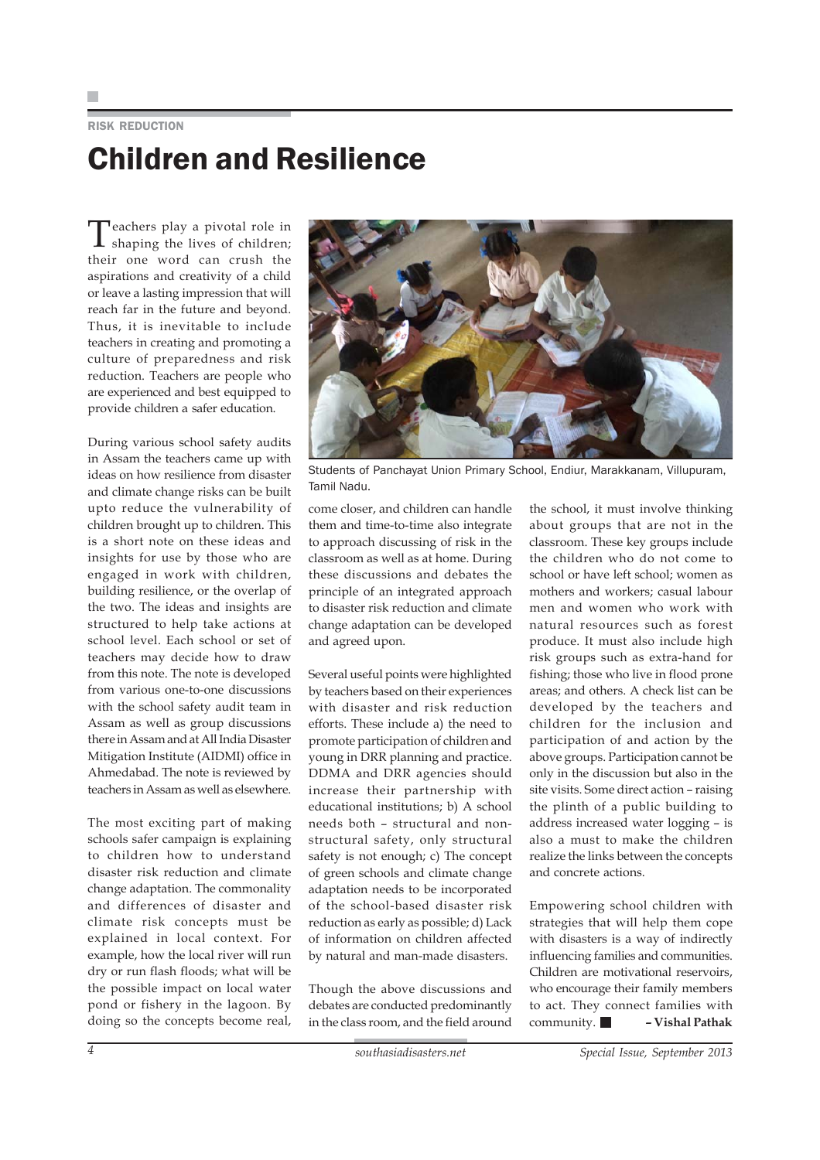RISK REDUCTION

# Children and Resilience

Teachers play a pivotal role in  $\mathbf I$  shaping the lives of children; their one word can crush the aspirations and creativity of a child or leave a lasting impression that will reach far in the future and beyond. Thus, it is inevitable to include teachers in creating and promoting a culture of preparedness and risk reduction. Teachers are people who are experienced and best equipped to provide children a safer education.

During various school safety audits in Assam the teachers came up with ideas on how resilience from disaster and climate change risks can be built upto reduce the vulnerability of children brought up to children. This is a short note on these ideas and insights for use by those who are engaged in work with children, building resilience, or the overlap of the two. The ideas and insights are structured to help take actions at school level. Each school or set of teachers may decide how to draw from this note. The note is developed from various one-to-one discussions with the school safety audit team in Assam as well as group discussions there in Assam and at All India Disaster Mitigation Institute (AIDMI) office in Ahmedabad. The note is reviewed by teachers in Assam as well as elsewhere.

The most exciting part of making schools safer campaign is explaining to children how to understand disaster risk reduction and climate change adaptation. The commonality and differences of disaster and climate risk concepts must be explained in local context. For example, how the local river will run dry or run flash floods; what will be the possible impact on local water pond or fishery in the lagoon. By doing so the concepts become real,



Students of Panchayat Union Primary School, Endiur, Marakkanam, Villupuram, Tamil Nadu.

come closer, and children can handle them and time-to-time also integrate to approach discussing of risk in the classroom as well as at home. During these discussions and debates the principle of an integrated approach to disaster risk reduction and climate change adaptation can be developed and agreed upon.

Several useful points were highlighted by teachers based on their experiences with disaster and risk reduction efforts. These include a) the need to promote participation of children and young in DRR planning and practice. DDMA and DRR agencies should increase their partnership with educational institutions; b) A school needs both – structural and nonstructural safety, only structural safety is not enough; c) The concept of green schools and climate change adaptation needs to be incorporated of the school-based disaster risk reduction as early as possible; d) Lack of information on children affected by natural and man-made disasters.

Though the above discussions and debates are conducted predominantly in the class room, and the field around

the school, it must involve thinking about groups that are not in the classroom. These key groups include the children who do not come to school or have left school; women as mothers and workers; casual labour men and women who work with natural resources such as forest produce. It must also include high risk groups such as extra-hand for fishing; those who live in flood prone areas; and others. A check list can be developed by the teachers and children for the inclusion and participation of and action by the above groups. Participation cannot be only in the discussion but also in the site visits. Some direct action – raising the plinth of a public building to address increased water logging – is also a must to make the children realize the links between the concepts and concrete actions.

Empowering school children with strategies that will help them cope with disasters is a way of indirectly influencing families and communities. Children are motivational reservoirs, who encourage their family members to act. They connect families with community. **– Vishal Pathak**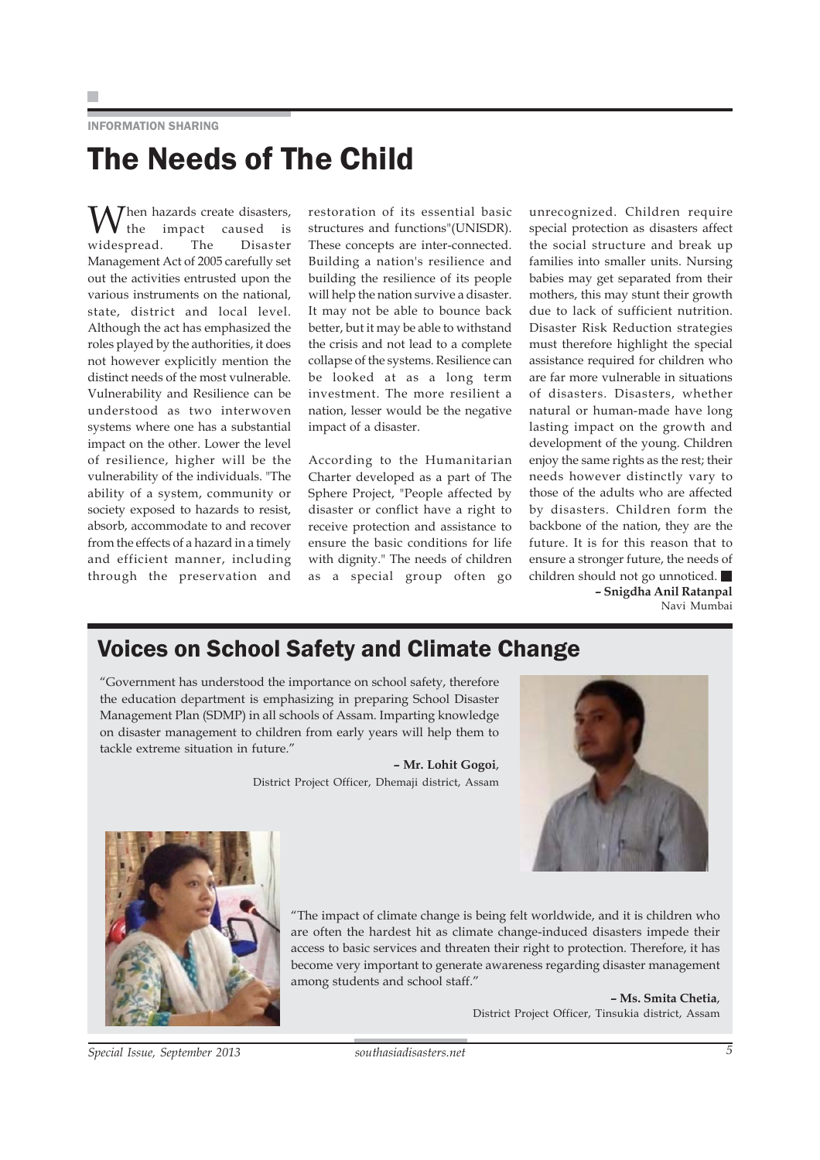INFORMATION SHARING

# The Needs of The Child

 $\int$ hen hazards create disasters,<br>the impact caused is<br>espread The Disaster caused widespread. Management Act of 2005 carefully set out the activities entrusted upon the various instruments on the national, state, district and local level. Although the act has emphasized the roles played by the authorities, it does not however explicitly mention the distinct needs of the most vulnerable. Vulnerability and Resilience can be understood as two interwoven systems where one has a substantial impact on the other. Lower the level of resilience, higher will be the vulnerability of the individuals. "The ability of a system, community or society exposed to hazards to resist, absorb, accommodate to and recover from the effects of a hazard in a timely and efficient manner, including through the preservation and

restoration of its essential basic structures and functions"(UNISDR). These concepts are inter-connected. Building a nation's resilience and building the resilience of its people will help the nation survive a disaster. It may not be able to bounce back better, but it may be able to withstand the crisis and not lead to a complete collapse of the systems. Resilience can be looked at as a long term investment. The more resilient a nation, lesser would be the negative impact of a disaster.

According to the Humanitarian Charter developed as a part of The Sphere Project, "People affected by disaster or conflict have a right to receive protection and assistance to ensure the basic conditions for life with dignity." The needs of children as a special group often go

unrecognized. Children require special protection as disasters affect the social structure and break up families into smaller units. Nursing babies may get separated from their mothers, this may stunt their growth due to lack of sufficient nutrition. Disaster Risk Reduction strategies must therefore highlight the special assistance required for children who are far more vulnerable in situations of disasters. Disasters, whether natural or human-made have long lasting impact on the growth and development of the young. Children enjoy the same rights as the rest; their needs however distinctly vary to those of the adults who are affected by disasters. Children form the backbone of the nation, they are the future. It is for this reason that to ensure a stronger future, the needs of children should not go unnoticed. **– Snigdha Anil Ratanpal** Navi Mumbai

### Voices on School Safety and Climate Change

"Government has understood the importance on school safety, therefore the education department is emphasizing in preparing School Disaster Management Plan (SDMP) in all schools of Assam. Imparting knowledge on disaster management to children from early years will help them to tackle extreme situation in future."

> **– Mr. Lohit Gogoi**, District Project Officer, Dhemaji district, Assam





"The impact of climate change is being felt worldwide, and it is children who are often the hardest hit as climate change-induced disasters impede their access to basic services and threaten their right to protection. Therefore, it has become very important to generate awareness regarding disaster management among students and school staff."

> **– Ms. Smita Chetia**, District Project Officer, Tinsukia district, Assam

*Special Issue, September 2013 southasiadisasters.net 5*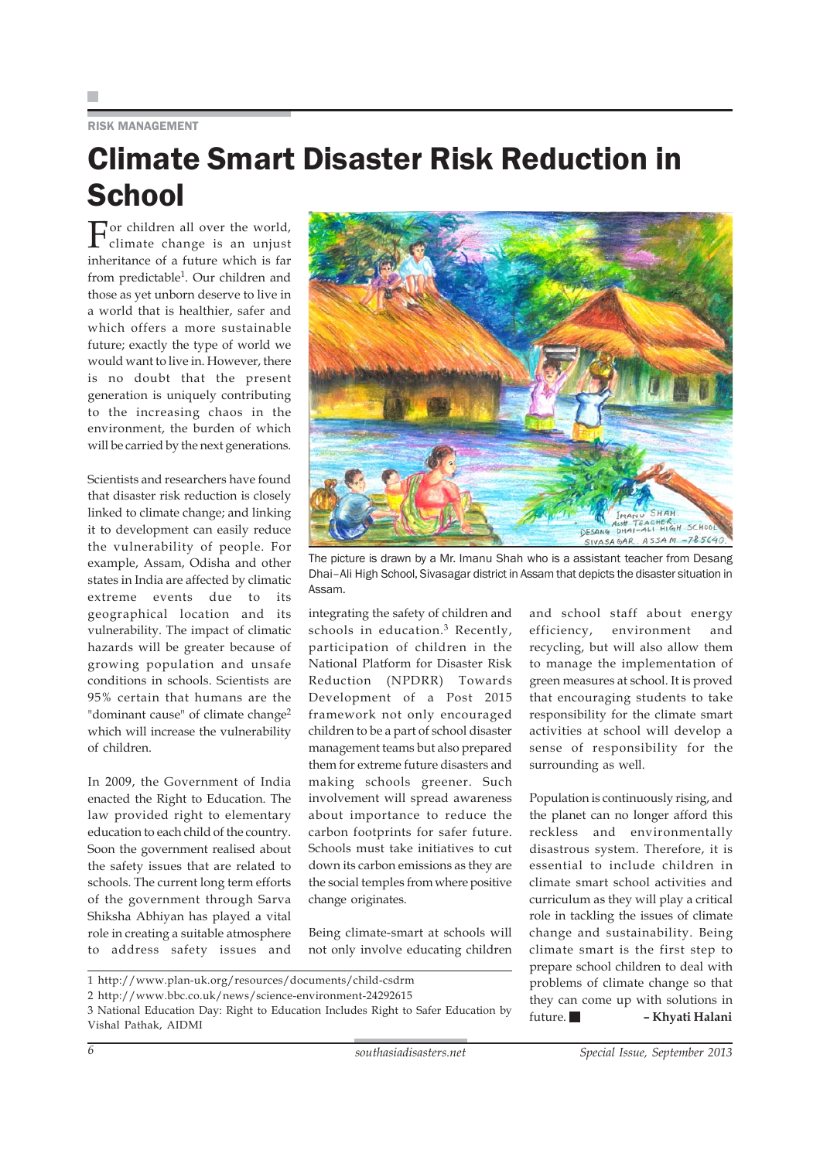### RISK MANAGEMENT

## Climate Smart Disaster Risk Reduction in **School**

For children all over the world, climate change is an unjust inheritance of a future which is far from predictable<sup>1</sup>. Our children and those as yet unborn deserve to live in a world that is healthier, safer and which offers a more sustainable future; exactly the type of world we would want to live in. However, there is no doubt that the present generation is uniquely contributing to the increasing chaos in the environment, the burden of which will be carried by the next generations.

Scientists and researchers have found that disaster risk reduction is closely linked to climate change; and linking it to development can easily reduce the vulnerability of people. For example, Assam, Odisha and other states in India are affected by climatic extreme events due to its geographical location and its vulnerability. The impact of climatic hazards will be greater because of growing population and unsafe conditions in schools. Scientists are 95% certain that humans are the "dominant cause" of climate change<sup>2</sup> which will increase the vulnerability of children.

In 2009, the Government of India enacted the Right to Education. The law provided right to elementary education to each child of the country. Soon the government realised about the safety issues that are related to schools. The current long term efforts of the government through Sarva Shiksha Abhiyan has played a vital role in creating a suitable atmosphere to address safety issues and



The picture is drawn by a Mr. Imanu Shah who is a assistant teacher from Desang Dhai–Ali High School, Sivasagar district in Assam that depicts the disaster situation in Assam.

integrating the safety of children and schools in education.<sup>3</sup> Recently, participation of children in the National Platform for Disaster Risk Reduction (NPDRR) Towards Development of a Post 2015 framework not only encouraged children to be a part of school disaster management teams but also prepared them for extreme future disasters and making schools greener. Such involvement will spread awareness about importance to reduce the carbon footprints for safer future. Schools must take initiatives to cut down its carbon emissions as they are the social temples from where positive change originates.

Being climate-smart at schools will not only involve educating children and school staff about energy efficiency, environment and recycling, but will also allow them to manage the implementation of green measures at school. It is proved that encouraging students to take responsibility for the climate smart activities at school will develop a sense of responsibility for the surrounding as well.

Population is continuously rising, and the planet can no longer afford this reckless and environmentally disastrous system. Therefore, it is essential to include children in climate smart school activities and curriculum as they will play a critical role in tackling the issues of climate change and sustainability. Being climate smart is the first step to prepare school children to deal with problems of climate change so that they can come up with solutions in future. **– Khyati Halani**

1 http://www.plan-uk.org/resources/documents/child-csdrm

3 National Education Day: Right to Education Includes Right to Safer Education by Vishal Pathak, AIDMI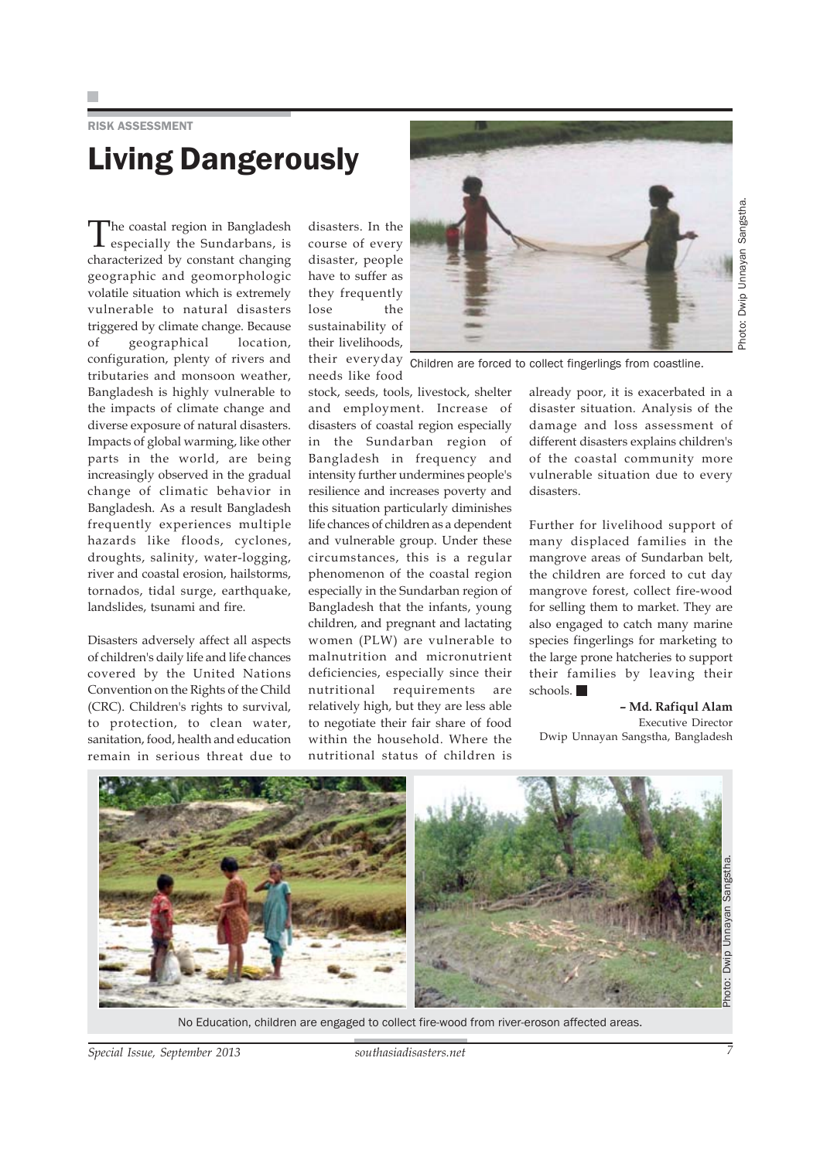RISK ASSESSMENT

# Living Dangerously

The coastal region in Bangladesh especially the Sundarbans, is characterized by constant changing geographic and geomorphologic volatile situation which is extremely vulnerable to natural disasters triggered by climate change. Because of geographical location, configuration, plenty of rivers and tributaries and monsoon weather, Bangladesh is highly vulnerable to the impacts of climate change and diverse exposure of natural disasters. Impacts of global warming, like other parts in the world, are being increasingly observed in the gradual change of climatic behavior in Bangladesh. As a result Bangladesh frequently experiences multiple hazards like floods, cyclones, droughts, salinity, water-logging, river and coastal erosion, hailstorms, tornados, tidal surge, earthquake, landslides, tsunami and fire.

Disasters adversely affect all aspects of children's daily life and life chances covered by the United Nations Convention on the Rights of the Child (CRC). Children's rights to survival, to protection, to clean water, sanitation, food, health and education remain in serious threat due to

disasters. In the course of every disaster, people have to suffer as they frequently lose the sustainability of their livelihoods,

stock, seeds, tools, livestock, shelter and employment. Increase of disasters of coastal region especially in the Sundarban region of Bangladesh in frequency and intensity further undermines people's resilience and increases poverty and this situation particularly diminishes life chances of children as a dependent and vulnerable group. Under these circumstances, this is a regular phenomenon of the coastal region especially in the Sundarban region of Bangladesh that the infants, young children, and pregnant and lactating women (PLW) are vulnerable to malnutrition and micronutrient deficiencies, especially since their nutritional requirements are relatively high, but they are less able to negotiate their fair share of food within the household. Where the nutritional status of children is



their everyday Children are forced to collect fingerlings from coastline. needs like food

already poor, it is exacerbated in a disaster situation. Analysis of the damage and loss assessment of different disasters explains children's of the coastal community more vulnerable situation due to every disasters.

Further for livelihood support of many displaced families in the mangrove areas of Sundarban belt, the children are forced to cut day mangrove forest, collect fire-wood for selling them to market. They are also engaged to catch many marine species fingerlings for marketing to the large prone hatcheries to support their families by leaving their schools.

**– Md. Rafiqul Alam** Executive Director Dwip Unnayan Sangstha, Bangladesh



No Education, children are engaged to collect fire-wood from river-eroson affected areas.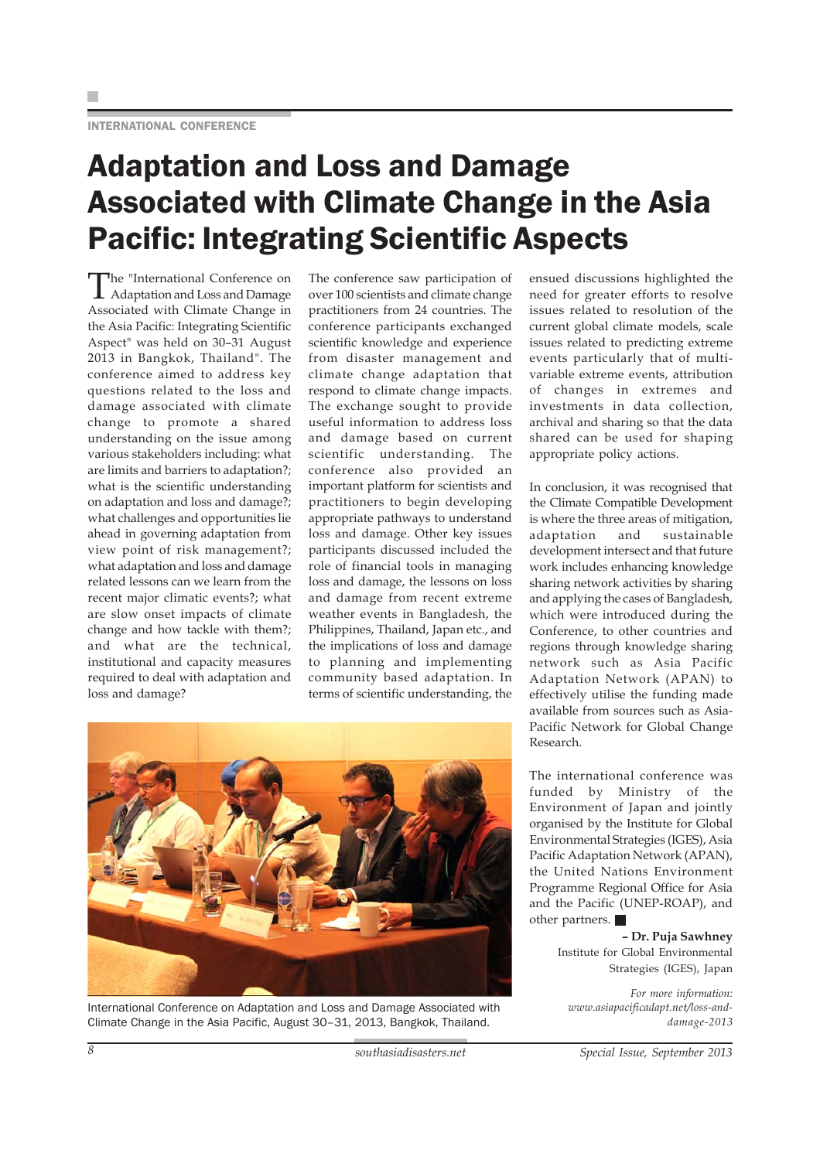# Adaptation and Loss and Damage Associated with Climate Change in the Asia Pacific: Integrating Scientific Aspects

The "International Conference on Adaptation and Loss and Damage Associated with Climate Change in the Asia Pacific: Integrating Scientific Aspect" was held on 30–31 August 2013 in Bangkok, Thailand". The conference aimed to address key questions related to the loss and damage associated with climate change to promote a shared understanding on the issue among various stakeholders including: what are limits and barriers to adaptation?; what is the scientific understanding on adaptation and loss and damage?; what challenges and opportunities lie ahead in governing adaptation from view point of risk management?; what adaptation and loss and damage related lessons can we learn from the recent major climatic events?; what are slow onset impacts of climate change and how tackle with them?; and what are the technical, institutional and capacity measures required to deal with adaptation and loss and damage?

The conference saw participation of over 100 scientists and climate change practitioners from 24 countries. The conference participants exchanged scientific knowledge and experience from disaster management and climate change adaptation that respond to climate change impacts. The exchange sought to provide useful information to address loss and damage based on current scientific understanding. The conference also provided an important platform for scientists and practitioners to begin developing appropriate pathways to understand loss and damage. Other key issues participants discussed included the role of financial tools in managing loss and damage, the lessons on loss and damage from recent extreme weather events in Bangladesh, the Philippines, Thailand, Japan etc., and the implications of loss and damage to planning and implementing community based adaptation. In terms of scientific understanding, the



International Conference on Adaptation and Loss and Damage Associated with Climate Change in the Asia Pacific, August 30–31, 2013, Bangkok, Thailand.

ensued discussions highlighted the need for greater efforts to resolve issues related to resolution of the current global climate models, scale issues related to predicting extreme events particularly that of multivariable extreme events, attribution of changes in extremes and investments in data collection, archival and sharing so that the data shared can be used for shaping appropriate policy actions.

In conclusion, it was recognised that the Climate Compatible Development is where the three areas of mitigation, adaptation and sustainable development intersect and that future work includes enhancing knowledge sharing network activities by sharing and applying the cases of Bangladesh, which were introduced during the Conference, to other countries and regions through knowledge sharing network such as Asia Pacific Adaptation Network (APAN) to effectively utilise the funding made available from sources such as Asia-Pacific Network for Global Change Research.

The international conference was funded by Ministry of the Environment of Japan and jointly organised by the Institute for Global Environmental Strategies (IGES), Asia Pacific Adaptation Network (APAN), the United Nations Environment Programme Regional Office for Asia and the Pacific (UNEP-ROAP), and other partners.

> **– Dr. Puja Sawhney** Institute for Global Environmental Strategies (IGES), Japan

*For more information: www.asiapacificadapt.net/loss-anddamage-2013*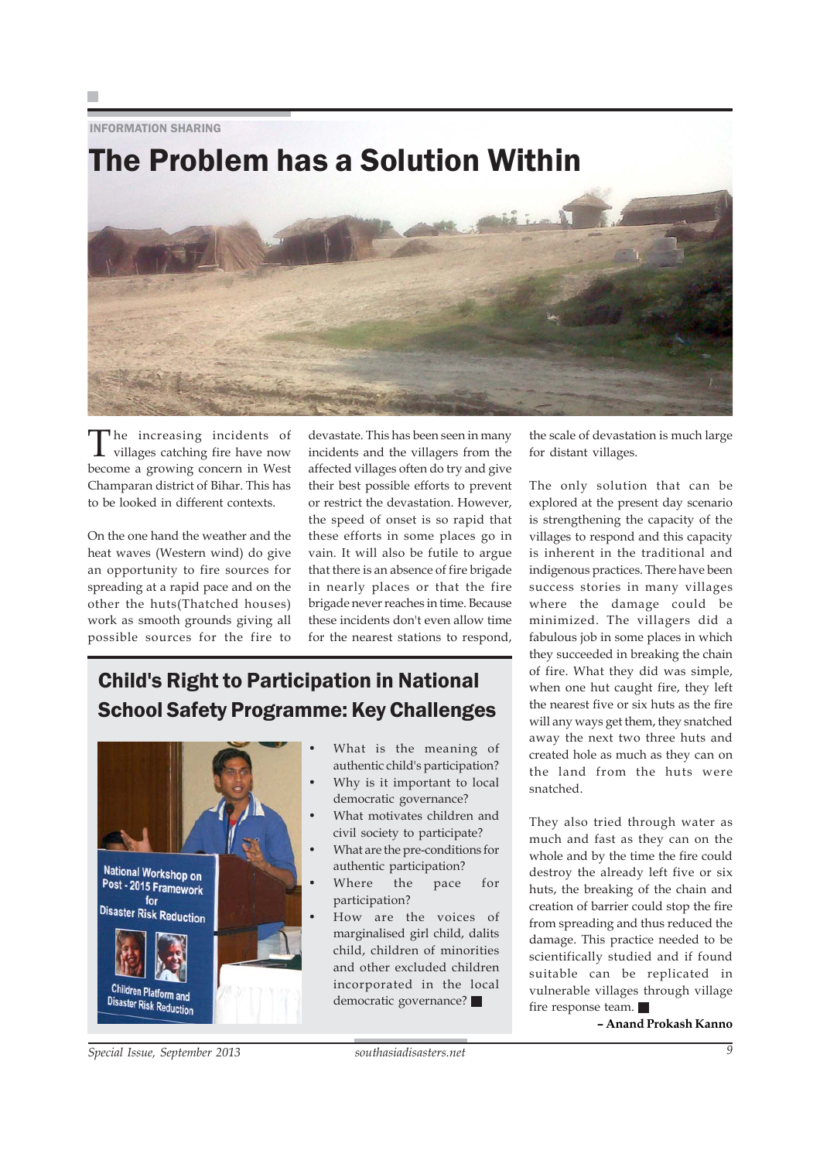INFORMATION SHARING



The increasing incidents of<br>villages catching fire have now become a growing concern in West Champaran district of Bihar. This has to be looked in different contexts.

On the one hand the weather and the heat waves (Western wind) do give an opportunity to fire sources for spreading at a rapid pace and on the other the huts(Thatched houses) work as smooth grounds giving all possible sources for the fire to

devastate. This has been seen in many incidents and the villagers from the affected villages often do try and give their best possible efforts to prevent or restrict the devastation. However, the speed of onset is so rapid that these efforts in some places go in vain. It will also be futile to argue that there is an absence of fire brigade in nearly places or that the fire brigade never reaches in time. Because these incidents don't even allow time for the nearest stations to respond,

## Child's Right to Participation in National School Safety Programme: Key Challenges



- What is the meaning of authentic child's participation?
- Why is it important to local democratic governance?
- What motivates children and civil society to participate?
- What are the pre-conditions for authentic participation?
- Where the pace for participation?
- How are the voices of marginalised girl child, dalits child, children of minorities and other excluded children incorporated in the local democratic governance?

the scale of devastation is much large for distant villages.

The only solution that can be explored at the present day scenario is strengthening the capacity of the villages to respond and this capacity is inherent in the traditional and indigenous practices. There have been success stories in many villages where the damage could be minimized. The villagers did a fabulous job in some places in which they succeeded in breaking the chain of fire. What they did was simple, when one hut caught fire, they left the nearest five or six huts as the fire will any ways get them, they snatched away the next two three huts and created hole as much as they can on the land from the huts were snatched.

They also tried through water as much and fast as they can on the whole and by the time the fire could destroy the already left five or six huts, the breaking of the chain and creation of barrier could stop the fire from spreading and thus reduced the damage. This practice needed to be scientifically studied and if found suitable can be replicated in vulnerable villages through village fire response team.

**– Anand Prokash Kanno**

*Special Issue, September 2013 southasiadisasters.net 9*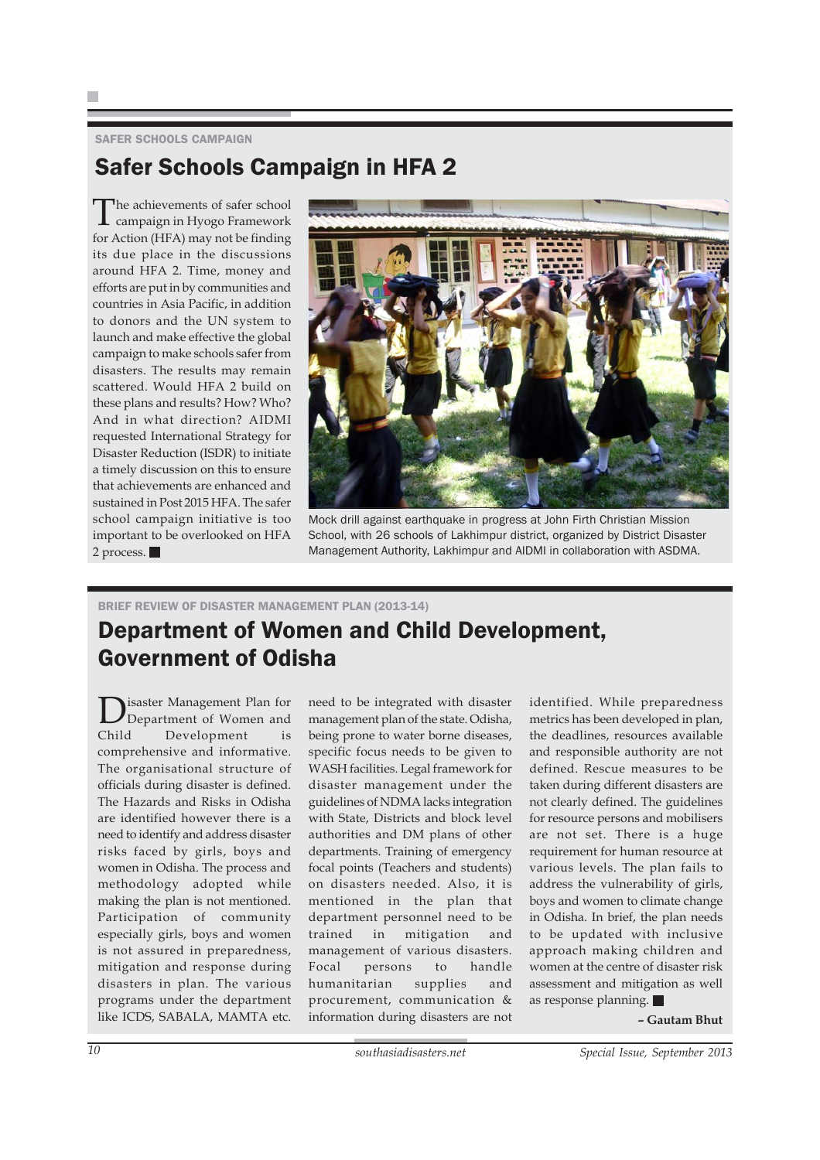### SAFER SCHOOLS CAMPAIGN

### Safer Schools Campaign in HFA 2

The achievements of safer school campaign in Hyogo Framework for Action (HFA) may not be finding its due place in the discussions around HFA 2. Time, money and efforts are put in by communities and countries in Asia Pacific, in addition to donors and the UN system to launch and make effective the global campaign to make schools safer from disasters. The results may remain scattered. Would HFA 2 build on these plans and results? How? Who? And in what direction? AIDMI requested International Strategy for Disaster Reduction (ISDR) to initiate a timely discussion on this to ensure that achievements are enhanced and sustained in Post 2015 HFA. The safer school campaign initiative is too important to be overlooked on HFA 2 process.



Mock drill against earthquake in progress at John Firth Christian Mission School, with 26 schools of Lakhimpur district, organized by District Disaster Management Authority, Lakhimpur and AIDMI in collaboration with ASDMA.

### BRIEF REVIEW OF DISASTER MANAGEMENT PLAN (2013-14)

### Department of Women and Child Development, Government of Odisha

**D**isaster Management Plan for<br>Child Development is Department of Women and Development comprehensive and informative. The organisational structure of officials during disaster is defined. The Hazards and Risks in Odisha are identified however there is a need to identify and address disaster risks faced by girls, boys and women in Odisha. The process and methodology adopted while making the plan is not mentioned. Participation of community especially girls, boys and women is not assured in preparedness, mitigation and response during disasters in plan. The various programs under the department like ICDS, SABALA, MAMTA etc.

need to be integrated with disaster management plan of the state. Odisha, being prone to water borne diseases, specific focus needs to be given to WASH facilities. Legal framework for disaster management under the guidelines of NDMA lacks integration with State, Districts and block level authorities and DM plans of other departments. Training of emergency focal points (Teachers and students) on disasters needed. Also, it is mentioned in the plan that department personnel need to be trained in mitigation and management of various disasters. Focal persons to handle humanitarian supplies and procurement, communication & information during disasters are not

identified. While preparedness metrics has been developed in plan, the deadlines, resources available and responsible authority are not defined. Rescue measures to be taken during different disasters are not clearly defined. The guidelines for resource persons and mobilisers are not set. There is a huge requirement for human resource at various levels. The plan fails to address the vulnerability of girls, boys and women to climate change in Odisha. In brief, the plan needs to be updated with inclusive approach making children and women at the centre of disaster risk assessment and mitigation as well as response planning.

**– Gautam Bhut**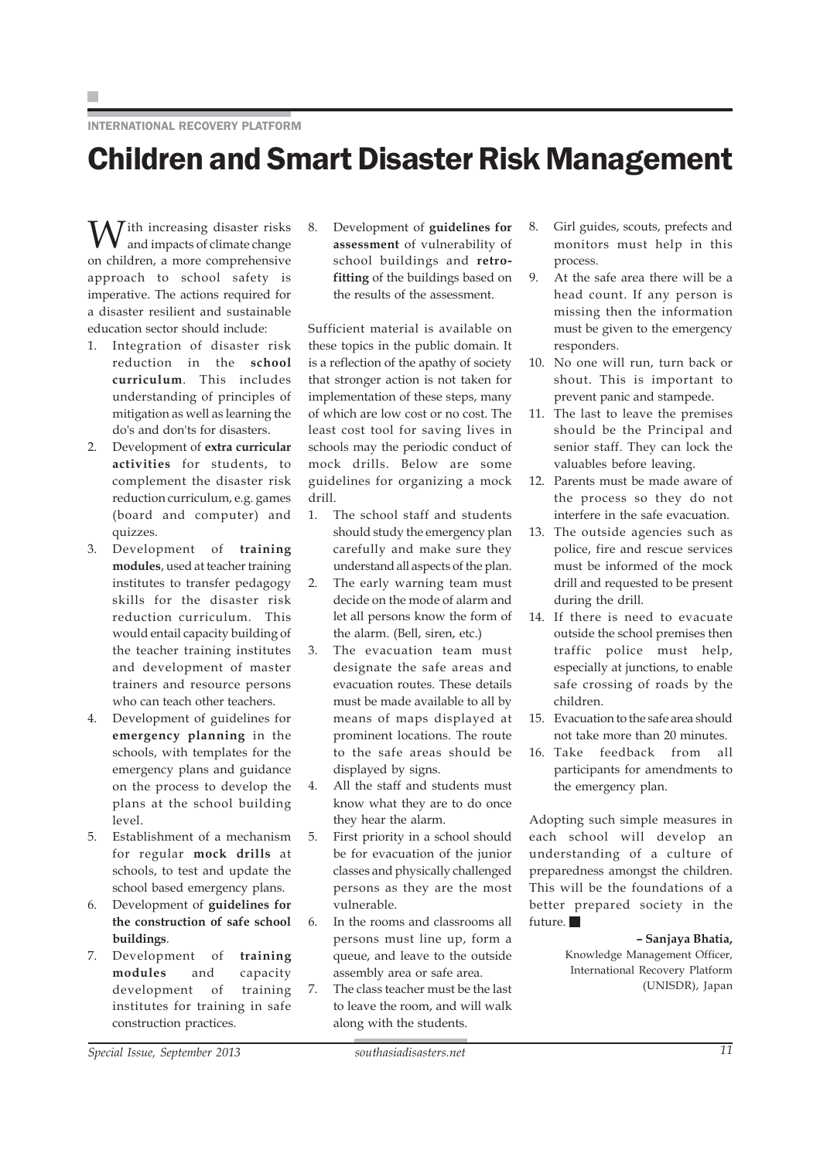#### INTERNATIONAL RECOVERY PLATFORM

## Children and Smart Disaster Risk Management

 $\sqrt{I}$ ith increasing disaster risks and impacts of climate change on children, a more comprehensive approach to school safety is imperative. The actions required for a disaster resilient and sustainable education sector should include:

- 1. Integration of disaster risk reduction in the **school curriculum**. This includes understanding of principles of mitigation as well as learning the do's and don'ts for disasters.
- 2. Development of **extra curricular activities** for students, to complement the disaster risk reduction curriculum, e.g. games (board and computer) and quizzes.
- 3. Development of **training modules**, used at teacher training institutes to transfer pedagogy skills for the disaster risk reduction curriculum. This would entail capacity building of the teacher training institutes and development of master trainers and resource persons who can teach other teachers.
- 4. Development of guidelines for **emergency planning** in the schools, with templates for the emergency plans and guidance on the process to develop the plans at the school building level.
- 5. Establishment of a mechanism for regular **mock drills** at schools, to test and update the school based emergency plans.
- 6. Development of **guidelines for the construction of safe school buildings**.
- 7. Development of **training modules** and capacity development of training institutes for training in safe construction practices.

8. Development of **guidelines for assessment** of vulnerability of school buildings and **retrofitting** of the buildings based on the results of the assessment.

Sufficient material is available on these topics in the public domain. It is a reflection of the apathy of society that stronger action is not taken for implementation of these steps, many of which are low cost or no cost. The least cost tool for saving lives in schools may the periodic conduct of mock drills. Below are some guidelines for organizing a mock drill.

- 1. The school staff and students should study the emergency plan carefully and make sure they understand all aspects of the plan.
- 2. The early warning team must decide on the mode of alarm and let all persons know the form of the alarm. (Bell, siren, etc.)
- 3. The evacuation team must designate the safe areas and evacuation routes. These details must be made available to all by means of maps displayed at prominent locations. The route to the safe areas should be displayed by signs.
- 4. All the staff and students must know what they are to do once they hear the alarm.
- 5. First priority in a school should be for evacuation of the junior classes and physically challenged persons as they are the most vulnerable.
- 6. In the rooms and classrooms all persons must line up, form a queue, and leave to the outside assembly area or safe area.
- 7. The class teacher must be the last to leave the room, and will walk along with the students.
- 8. Girl guides, scouts, prefects and monitors must help in this process.
- 9. At the safe area there will be a head count. If any person is missing then the information must be given to the emergency responders.
- 10. No one will run, turn back or shout. This is important to prevent panic and stampede.
- 11. The last to leave the premises should be the Principal and senior staff. They can lock the valuables before leaving.
- 12. Parents must be made aware of the process so they do not interfere in the safe evacuation.
- 13. The outside agencies such as police, fire and rescue services must be informed of the mock drill and requested to be present during the drill.
- 14. If there is need to evacuate outside the school premises then traffic police must help, especially at junctions, to enable safe crossing of roads by the children.
- 15. Evacuation to the safe area should not take more than 20 minutes.
- 16. Take feedback from all participants for amendments to the emergency plan.

Adopting such simple measures in each school will develop an understanding of a culture of preparedness amongst the children. This will be the foundations of a better prepared society in the future.

#### **– Sanjaya Bhatia,**

Knowledge Management Officer, International Recovery Platform (UNISDR), Japan